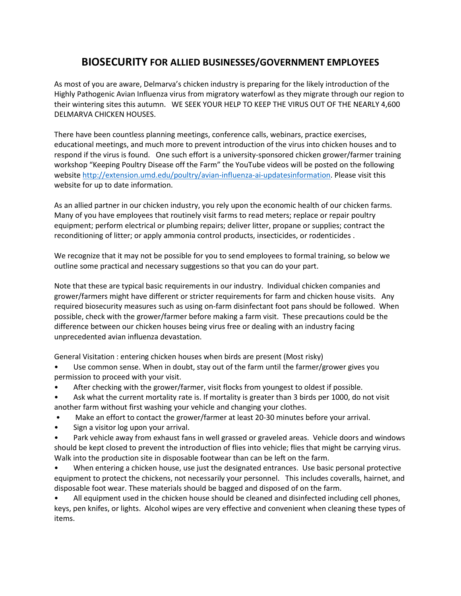## **BIOSECURITY FOR ALLIED BUSINESSES/GOVERNMENT EMPLOYEES**

As most of you are aware, Delmarva's chicken industry is preparing for the likely introduction of the Highly Pathogenic Avian Influenza virus from migratory waterfowl as they migrate through our region to their wintering sites this autumn. WE SEEK YOUR HELP TO KEEP THE VIRUS OUT OF THE NEARLY 4,600 DELMARVA CHICKEN HOUSES.

There have been countless planning meetings, conference calls, webinars, practice exercises, educational meetings, and much more to prevent introduction of the virus into chicken houses and to respond if the virus is found. One such effort is a university-sponsored chicken grower/farmer training workshop "Keeping Poultry Disease off the Farm" the YouTube videos will be posted on the following website [http://extension.umd.edu/poultry/avian-influenza-ai-updatesinformation.](http://extension.umd.edu/poultry/avian-influenza-ai-updatesinformation) Please visit this website for up to date information.

As an allied partner in our chicken industry, you rely upon the economic health of our chicken farms. Many of you have employees that routinely visit farms to read meters; replace or repair poultry equipment; perform electrical or plumbing repairs; deliver litter, propane or supplies; contract the reconditioning of litter; or apply ammonia control products, insecticides, or rodenticides .

We recognize that it may not be possible for you to send employees to formal training, so below we outline some practical and necessary suggestions so that you can do your part.

Note that these are typical basic requirements in our industry. Individual chicken companies and grower/farmers might have different or stricter requirements for farm and chicken house visits. Any required biosecurity measures such as using on-farm disinfectant foot pans should be followed. When possible, check with the grower/farmer before making a farm visit. These precautions could be the difference between our chicken houses being virus free or dealing with an industry facing unprecedented avian influenza devastation.

General Visitation : entering chicken houses when birds are present (Most risky)

- Use common sense. When in doubt, stay out of the farm until the farmer/grower gives you permission to proceed with your visit.
- After checking with the grower/farmer, visit flocks from youngest to oldest if possible.
- Ask what the current mortality rate is. If mortality is greater than 3 birds per 1000, do not visit another farm without first washing your vehicle and changing your clothes.
- Make an effort to contact the grower/farmer at least 20-30 minutes before your arrival.
- Sign a visitor log upon your arrival.
- Park vehicle away from exhaust fans in well grassed or graveled areas. Vehicle doors and windows should be kept closed to prevent the introduction of flies into vehicle; flies that might be carrying virus. Walk into the production site in disposable footwear than can be left on the farm.
- When entering a chicken house, use just the designated entrances. Use basic personal protective equipment to protect the chickens, not necessarily your personnel. This includes coveralls, hairnet, and disposable foot wear. These materials should be bagged and disposed of on the farm.

• All equipment used in the chicken house should be cleaned and disinfected including cell phones, keys, pen knifes, or lights. Alcohol wipes are very effective and convenient when cleaning these types of items.